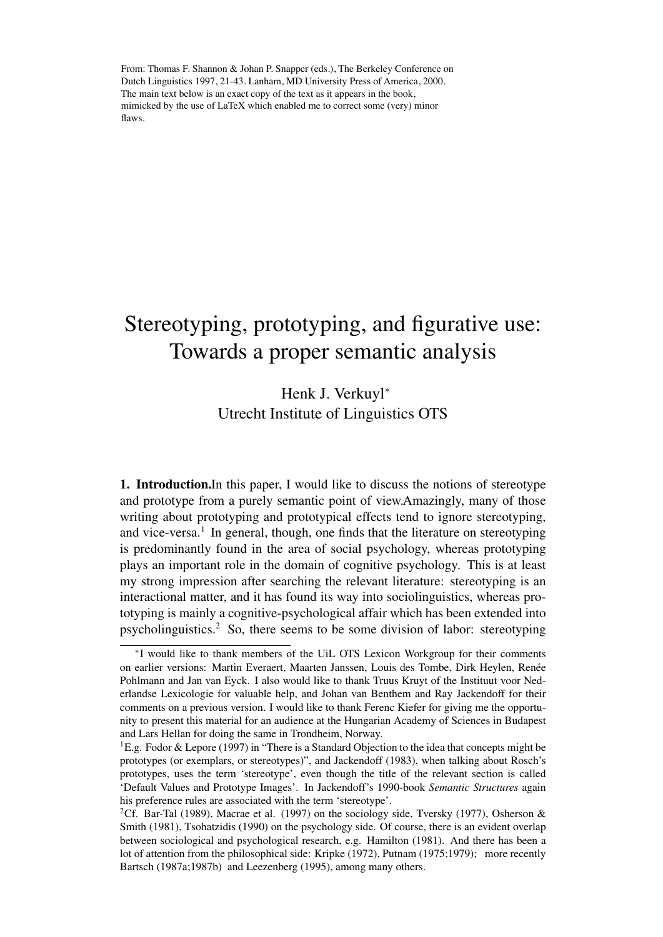From: Thomas F. Shannon & Johan P. Snapper (eds.), The Berkeley Conference on Dutch Linguistics 1997, 21-43. Lanham, MD University Press of America, 2000. The main text below is an exact copy of the text as it appears in the book, mimicked by the use of LaTeX which enabled me to correct some (very) minor flaws.

## Stereotyping, prototyping, and figurative use: Towards a proper semantic analysis

## Henk J. Verkuyl<sup>\*</sup> Utrecht Institute of Linguistics OTS

1. Introduction.In this paper, I would like to discuss the notions of stereotype and prototype from a purely semantic point of view.Amazingly, many of those writing about prototyping and prototypical effects tend to ignore stereotyping, and vice-versa.<sup>1</sup> In general, though, one finds that the literature on stereotyping is predominantly found in the area of social psychology, whereas prototyping plays an important role in the domain of cognitive psychology. This is at least my strong impression after searching the relevant literature: stereotyping is an interactional matter, and it has found its way into sociolinguistics, whereas prototyping is mainly a cognitive-psychological affair which has been extended into psycholinguistics.2 So, there seems to be some division of labor: stereotyping

<sup>⇤</sup>I would like to thank members of the UiL OTS Lexicon Workgroup for their comments on earlier versions: Martin Everaert, Maarten Janssen, Louis des Tombe, Dirk Heylen, Renée Pohlmann and Jan van Eyck. I also would like to thank Truus Kruyt of the Instituut voor Nederlandse Lexicologie for valuable help, and Johan van Benthem and Ray Jackendoff for their comments on a previous version. I would like to thank Ferenc Kiefer for giving me the opportunity to present this material for an audience at the Hungarian Academy of Sciences in Budapest and Lars Hellan for doing the same in Trondheim, Norway.

<sup>&</sup>lt;sup>1</sup>E.g. Fodor & Lepore (1997) in "There is a Standard Objection to the idea that concepts might be prototypes (or exemplars, or stereotypes)", and Jackendoff (1983), when talking about Rosch's prototypes, uses the term 'stereotype', even though the title of the relevant section is called 'Default Values and Prototype Images'. In Jackendoff's 1990-book *Semantic Structures* again his preference rules are associated with the term 'stereotype'.

<sup>&</sup>lt;sup>2</sup>Cf. Bar-Tal (1989), Macrae et al. (1997) on the sociology side, Tversky (1977), Osherson & Smith (1981), Tsohatzidis (1990) on the psychology side. Of course, there is an evident overlap between sociological and psychological research, e.g. Hamilton (1981). And there has been a lot of attention from the philosophical side: Kripke (1972), Putnam (1975;1979); more recently Bartsch (1987a;1987b) and Leezenberg (1995), among many others.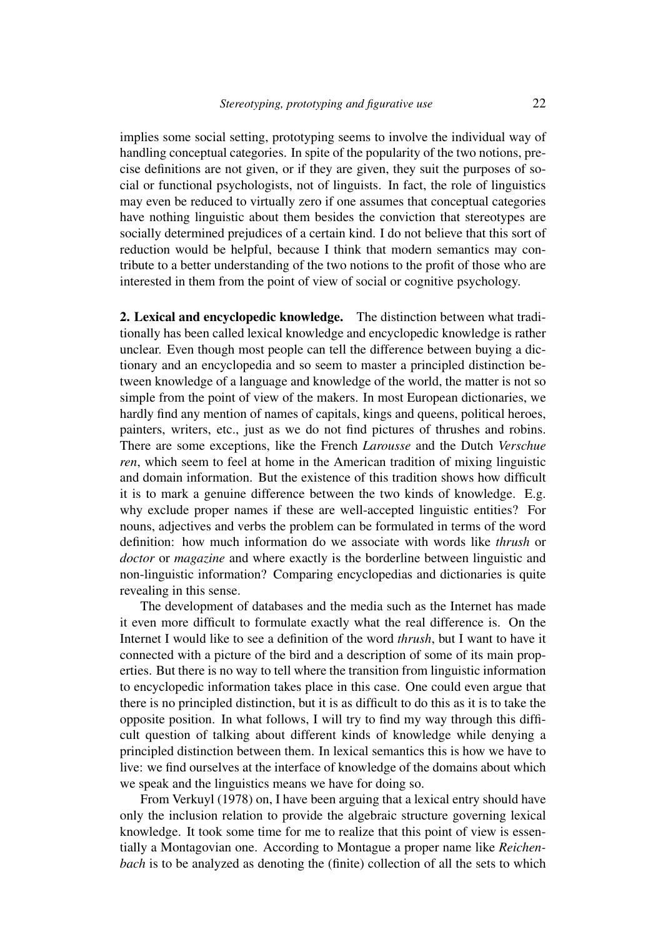implies some social setting, prototyping seems to involve the individual way of handling conceptual categories. In spite of the popularity of the two notions, precise definitions are not given, or if they are given, they suit the purposes of social or functional psychologists, not of linguists. In fact, the role of linguistics may even be reduced to virtually zero if one assumes that conceptual categories have nothing linguistic about them besides the conviction that stereotypes are socially determined prejudices of a certain kind. I do not believe that this sort of reduction would be helpful, because I think that modern semantics may contribute to a better understanding of the two notions to the profit of those who are interested in them from the point of view of social or cognitive psychology.

2. Lexical and encyclopedic knowledge. The distinction between what traditionally has been called lexical knowledge and encyclopedic knowledge is rather unclear. Even though most people can tell the difference between buying a dictionary and an encyclopedia and so seem to master a principled distinction between knowledge of a language and knowledge of the world, the matter is not so simple from the point of view of the makers. In most European dictionaries, we hardly find any mention of names of capitals, kings and queens, political heroes, painters, writers, etc., just as we do not find pictures of thrushes and robins. There are some exceptions, like the French *Larousse* and the Dutch *Verschue ren*, which seem to feel at home in the American tradition of mixing linguistic and domain information. But the existence of this tradition shows how difficult it is to mark a genuine difference between the two kinds of knowledge. E.g. why exclude proper names if these are well-accepted linguistic entities? For nouns, adjectives and verbs the problem can be formulated in terms of the word definition: how much information do we associate with words like *thrush* or *doctor* or *magazine* and where exactly is the borderline between linguistic and non-linguistic information? Comparing encyclopedias and dictionaries is quite revealing in this sense.

The development of databases and the media such as the Internet has made it even more difficult to formulate exactly what the real difference is. On the Internet I would like to see a definition of the word *thrush*, but I want to have it connected with a picture of the bird and a description of some of its main properties. But there is no way to tell where the transition from linguistic information to encyclopedic information takes place in this case. One could even argue that there is no principled distinction, but it is as difficult to do this as it is to take the opposite position. In what follows, I will try to find my way through this difficult question of talking about different kinds of knowledge while denying a principled distinction between them. In lexical semantics this is how we have to live: we find ourselves at the interface of knowledge of the domains about which we speak and the linguistics means we have for doing so.

From Verkuyl (1978) on, I have been arguing that a lexical entry should have only the inclusion relation to provide the algebraic structure governing lexical knowledge. It took some time for me to realize that this point of view is essentially a Montagovian one. According to Montague a proper name like *Reichenbach* is to be analyzed as denoting the (finite) collection of all the sets to which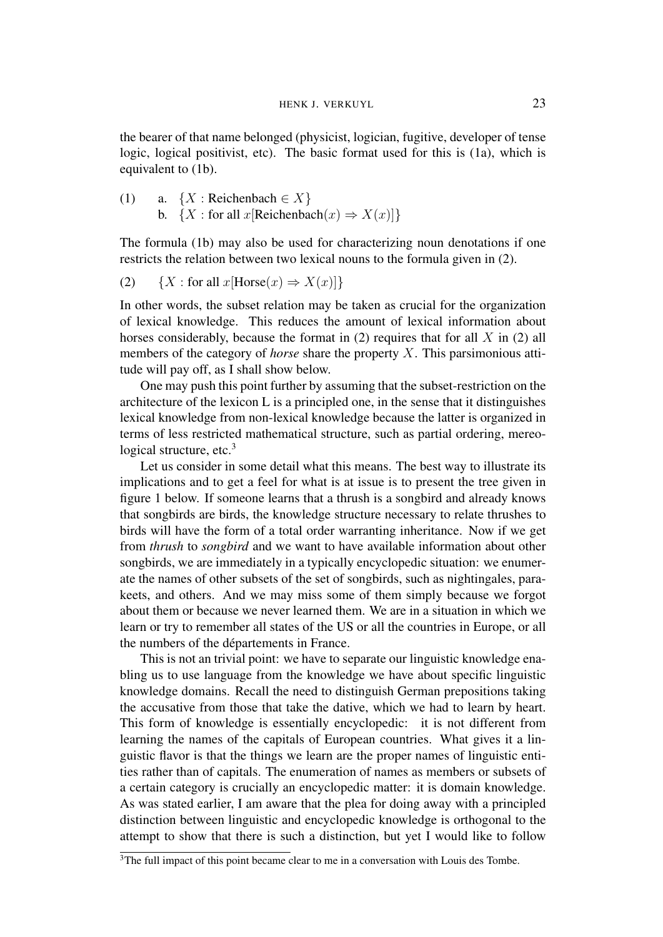the bearer of that name belonged (physicist, logician, fugitive, developer of tense logic, logical positivist, etc). The basic format used for this is (1a), which is equivalent to (1b).

(1) a.  ${X : \text{Reichenbach} \in X}$ b.  ${X :$  for all  $x$ [Reichenbach $(x) \Rightarrow X(x)$ ] $}$ 

The formula (1b) may also be used for characterizing noun denotations if one restricts the relation between two lexical nouns to the formula given in (2).

(2) 
$$
\{X : \text{for all } x[\text{Horse}(x) \Rightarrow X(x)]\}
$$

In other words, the subset relation may be taken as crucial for the organization of lexical knowledge. This reduces the amount of lexical information about horses considerably, because the format in (2) requires that for all *X* in (2) all members of the category of *horse* share the property *X*. This parsimonious attitude will pay off, as I shall show below.

One may push this point further by assuming that the subset-restriction on the architecture of the lexicon L is a principled one, in the sense that it distinguishes lexical knowledge from non-lexical knowledge because the latter is organized in terms of less restricted mathematical structure, such as partial ordering, mereological structure,  $etc.<sup>3</sup>$ 

Let us consider in some detail what this means. The best way to illustrate its implications and to get a feel for what is at issue is to present the tree given in figure 1 below. If someone learns that a thrush is a songbird and already knows that songbirds are birds, the knowledge structure necessary to relate thrushes to birds will have the form of a total order warranting inheritance. Now if we get from *thrush* to *songbird* and we want to have available information about other songbirds, we are immediately in a typically encyclopedic situation: we enumerate the names of other subsets of the set of songbirds, such as nightingales, parakeets, and others. And we may miss some of them simply because we forgot about them or because we never learned them. We are in a situation in which we learn or try to remember all states of the US or all the countries in Europe, or all the numbers of the départements in France.

This is not an trivial point: we have to separate our linguistic knowledge enabling us to use language from the knowledge we have about specific linguistic knowledge domains. Recall the need to distinguish German prepositions taking the accusative from those that take the dative, which we had to learn by heart. This form of knowledge is essentially encyclopedic: it is not different from learning the names of the capitals of European countries. What gives it a linguistic flavor is that the things we learn are the proper names of linguistic entities rather than of capitals. The enumeration of names as members or subsets of a certain category is crucially an encyclopedic matter: it is domain knowledge. As was stated earlier, I am aware that the plea for doing away with a principled distinction between linguistic and encyclopedic knowledge is orthogonal to the attempt to show that there is such a distinction, but yet I would like to follow

<sup>&</sup>lt;sup>3</sup>The full impact of this point became clear to me in a conversation with Louis des Tombe.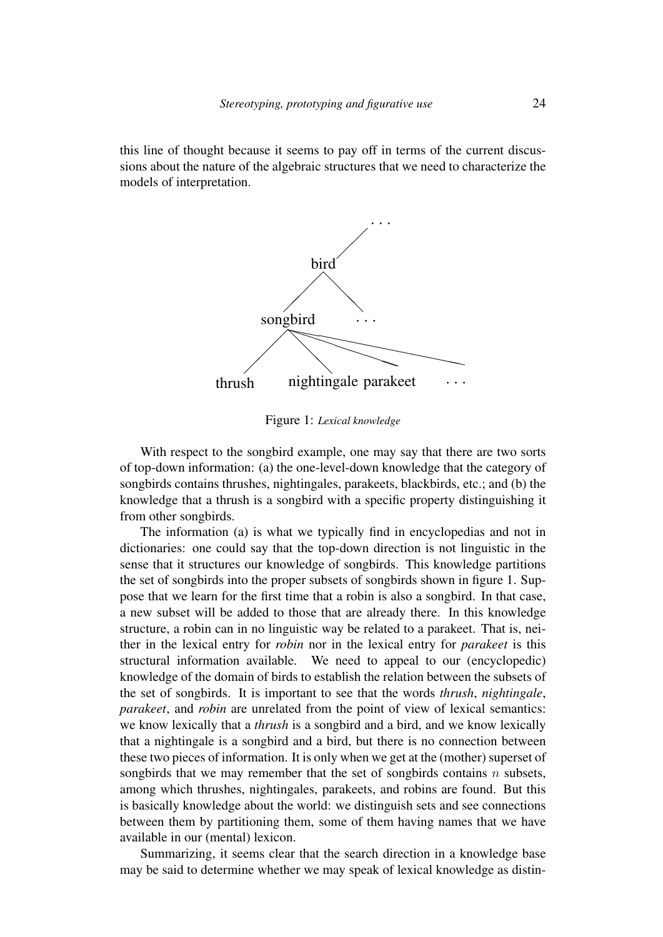this line of thought because it seems to pay off in terms of the current discussions about the nature of the algebraic structures that we need to characterize the models of interpretation.



Figure 1: *Lexical knowledge*

With respect to the songbird example, one may say that there are two sorts of top-down information: (a) the one-level-down knowledge that the category of songbirds contains thrushes, nightingales, parakeets, blackbirds, etc.; and (b) the knowledge that a thrush is a songbird with a specific property distinguishing it from other songbirds.

The information (a) is what we typically find in encyclopedias and not in dictionaries: one could say that the top-down direction is not linguistic in the sense that it structures our knowledge of songbirds. This knowledge partitions the set of songbirds into the proper subsets of songbirds shown in figure 1. Suppose that we learn for the first time that a robin is also a songbird. In that case, a new subset will be added to those that are already there. In this knowledge structure, a robin can in no linguistic way be related to a parakeet. That is, neither in the lexical entry for *robin* nor in the lexical entry for *parakeet* is this structural information available. We need to appeal to our (encyclopedic) knowledge of the domain of birds to establish the relation between the subsets of the set of songbirds. It is important to see that the words *thrush*, *nightingale*, *parakeet*, and *robin* are unrelated from the point of view of lexical semantics: we know lexically that a *thrush* is a songbird and a bird, and we know lexically that a nightingale is a songbird and a bird, but there is no connection between these two pieces of information. It is only when we get at the (mother) superset of songbirds that we may remember that the set of songbirds contains *n* subsets, among which thrushes, nightingales, parakeets, and robins are found. But this is basically knowledge about the world: we distinguish sets and see connections between them by partitioning them, some of them having names that we have available in our (mental) lexicon.

Summarizing, it seems clear that the search direction in a knowledge base may be said to determine whether we may speak of lexical knowledge as distin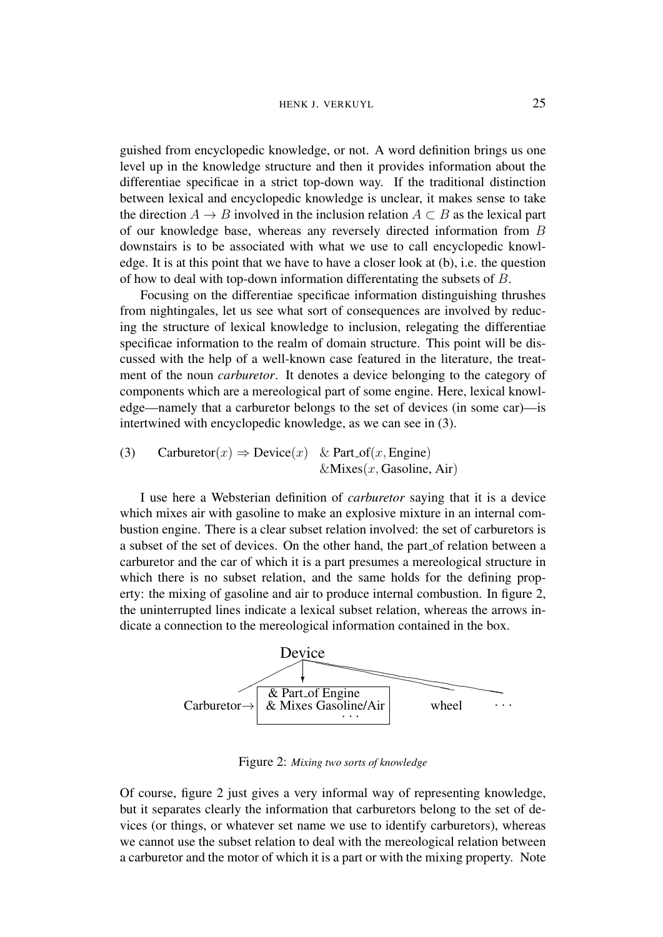guished from encyclopedic knowledge, or not. A word definition brings us one level up in the knowledge structure and then it provides information about the differentiae specificae in a strict top-down way. If the traditional distinction between lexical and encyclopedic knowledge is unclear, it makes sense to take the direction  $A \rightarrow B$  involved in the inclusion relation  $A \subset B$  as the lexical part of our knowledge base, whereas any reversely directed information from *B* downstairs is to be associated with what we use to call encyclopedic knowledge. It is at this point that we have to have a closer look at (b), i.e. the question of how to deal with top-down information differentating the subsets of *B*.

Focusing on the differentiae specificae information distinguishing thrushes from nightingales, let us see what sort of consequences are involved by reducing the structure of lexical knowledge to inclusion, relegating the differentiae specificae information to the realm of domain structure. This point will be discussed with the help of a well-known case featured in the literature, the treatment of the noun *carburetor*. It denotes a device belonging to the category of components which are a mereological part of some engine. Here, lexical knowledge—namely that a carburetor belongs to the set of devices (in some car)—is intertwined with encyclopedic knowledge, as we can see in (3).

(3) Carburetor $(x) \Rightarrow$  Device $(x)$  & Part<sub>-Of</sub> $(x,$  Engine) &Mixes(*x,* Gasoline, Air)

I use here a Websterian definition of *carburetor* saying that it is a device which mixes air with gasoline to make an explosive mixture in an internal combustion engine. There is a clear subset relation involved: the set of carburetors is a subset of the set of devices. On the other hand, the part of relation between a carburetor and the car of which it is a part presumes a mereological structure in which there is no subset relation, and the same holds for the defining property: the mixing of gasoline and air to produce internal combustion. In figure 2, the uninterrupted lines indicate a lexical subset relation, whereas the arrows indicate a connection to the mereological information contained in the box.



Figure 2: *Mixing two sorts of knowledge*

Of course, figure 2 just gives a very informal way of representing knowledge, but it separates clearly the information that carburetors belong to the set of devices (or things, or whatever set name we use to identify carburetors), whereas we cannot use the subset relation to deal with the mereological relation between a carburetor and the motor of which it is a part or with the mixing property. Note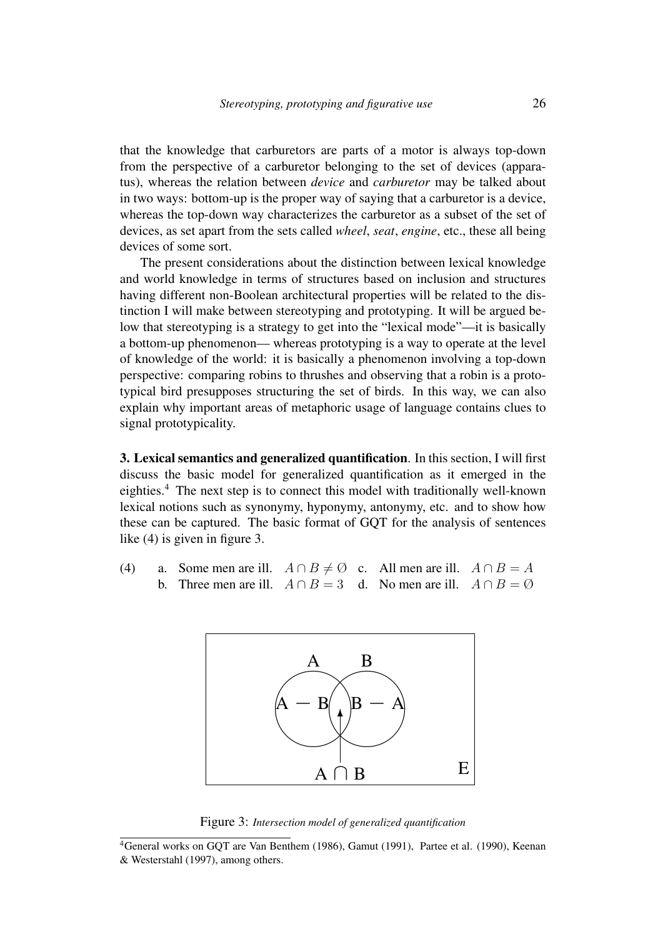that the knowledge that carburetors are parts of a motor is always top-down from the perspective of a carburetor belonging to the set of devices (apparatus), whereas the relation between *device* and *carburetor* may be talked about in two ways: bottom-up is the proper way of saying that a carburetor is a device, whereas the top-down way characterizes the carburetor as a subset of the set of devices, as set apart from the sets called *wheel*, *seat*, *engine*, etc., these all being devices of some sort.

The present considerations about the distinction between lexical knowledge and world knowledge in terms of structures based on inclusion and structures having different non-Boolean architectural properties will be related to the distinction I will make between stereotyping and prototyping. It will be argued below that stereotyping is a strategy to get into the "lexical mode"—it is basically a bottom-up phenomenon— whereas prototyping is a way to operate at the level of knowledge of the world: it is basically a phenomenon involving a top-down perspective: comparing robins to thrushes and observing that a robin is a prototypical bird presupposes structuring the set of birds. In this way, we can also explain why important areas of metaphoric usage of language contains clues to signal prototypicality.

3. Lexical semantics and generalized quantification. In this section, I will first discuss the basic model for generalized quantification as it emerged in the eighties.<sup>4</sup> The next step is to connect this model with traditionally well-known lexical notions such as synonymy, hyponymy, antonymy, etc. and to show how these can be captured. The basic format of GQT for the analysis of sentences like (4) is given in figure 3.

(4) a. Some men are ill.  $A \cap B \neq \emptyset$  c. All men are ill.  $A \cap B = A$ b. Three men are ill.  $A \cap B = 3$  d. No men are ill.  $A \cap B = \emptyset$ 



Figure 3: *Intersection model of generalized quantification*

<sup>4</sup>General works on GQT are Van Benthem (1986), Gamut (1991), Partee et al. (1990), Keenan & Westerstahl (1997), among others.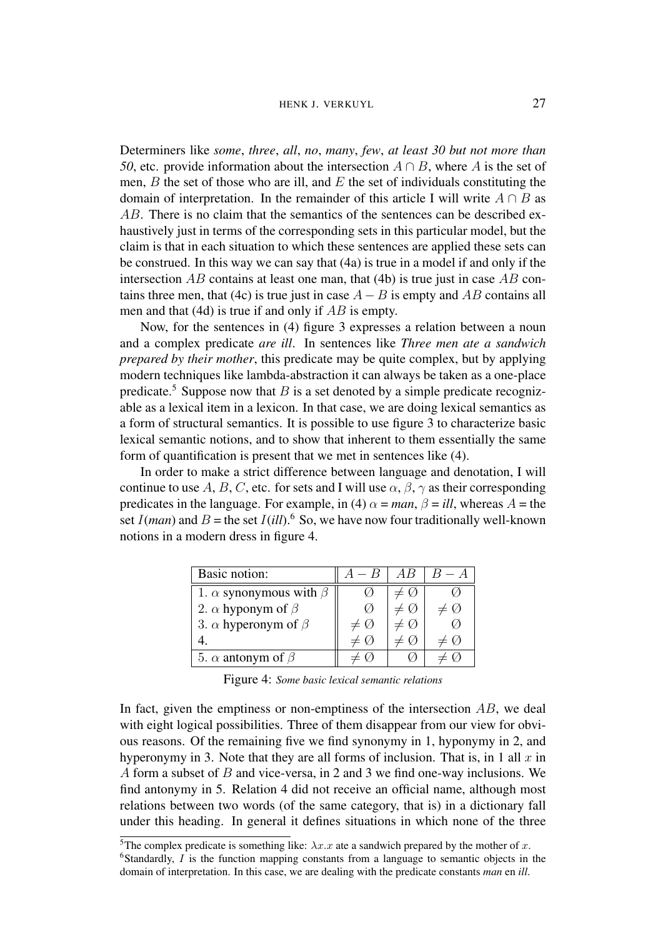Determiners like *some*, *three*, *all*, *no*, *many*, *few*, *at least 30 but not more than 50*, etc. provide information about the intersection  $A \cap B$ , where *A* is the set of men, *B* the set of those who are ill, and *E* the set of individuals constituting the domain of interpretation. In the remainder of this article I will write  $A \cap B$  as *AB*. There is no claim that the semantics of the sentences can be described exhaustively just in terms of the corresponding sets in this particular model, but the claim is that in each situation to which these sentences are applied these sets can be construed. In this way we can say that (4a) is true in a model if and only if the intersection *AB* contains at least one man, that (4b) is true just in case *AB* contains three men, that (4c) is true just in case  $A - B$  is empty and  $AB$  contains all men and that (4d) is true if and only if *AB* is empty.

Now, for the sentences in (4) figure 3 expresses a relation between a noun and a complex predicate *are ill*. In sentences like *Three men ate a sandwich prepared by their mother*, this predicate may be quite complex, but by applying modern techniques like lambda-abstraction it can always be taken as a one-place predicate.<sup>5</sup> Suppose now that *B* is a set denoted by a simple predicate recognizable as a lexical item in a lexicon. In that case, we are doing lexical semantics as a form of structural semantics. It is possible to use figure 3 to characterize basic lexical semantic notions, and to show that inherent to them essentially the same form of quantification is present that we met in sentences like (4).

In order to make a strict difference between language and denotation, I will continue to use A, B, C, etc. for sets and I will use  $\alpha$ ,  $\beta$ ,  $\gamma$  as their corresponding predicates in the language. For example, in (4)  $\alpha = man$ ,  $\beta = ill$ , whereas  $A =$  the set  $I(man)$  and  $B =$  the set  $I(ill)$ .<sup>6</sup> So, we have now four traditionally well-known notions in a modern dress in figure 4.

| Basic notion:                       | $- B$              | AВ |  |
|-------------------------------------|--------------------|----|--|
| 1. $\alpha$ synonymous with $\beta$ |                    |    |  |
| 2. $\alpha$ hyponym of $\beta$      |                    |    |  |
| 3. $\alpha$ hyperonym of $\beta$    | $\neq \varnothing$ |    |  |
|                                     |                    |    |  |
| 5. $\alpha$ antonym of $\beta$      |                    |    |  |

Figure 4: *Some basic lexical semantic relations*

In fact, given the emptiness or non-emptiness of the intersection *AB*, we deal with eight logical possibilities. Three of them disappear from our view for obvious reasons. Of the remaining five we find synonymy in 1, hyponymy in 2, and hyperonymy in 3. Note that they are all forms of inclusion. That is, in 1 all *x* in *A* form a subset of *B* and vice-versa, in 2 and 3 we find one-way inclusions. We find antonymy in 5. Relation 4 did not receive an official name, although most relations between two words (of the same category, that is) in a dictionary fall under this heading. In general it defines situations in which none of the three

<sup>&</sup>lt;sup>5</sup>The complex predicate is something like:  $\lambda x.x$  ate a sandwich prepared by the mother of *x*. <sup>6</sup>Standardly, *I* is the function mapping constants from a language to semantic objects in the domain of interpretation. In this case, we are dealing with the predicate constants *man* en *ill*.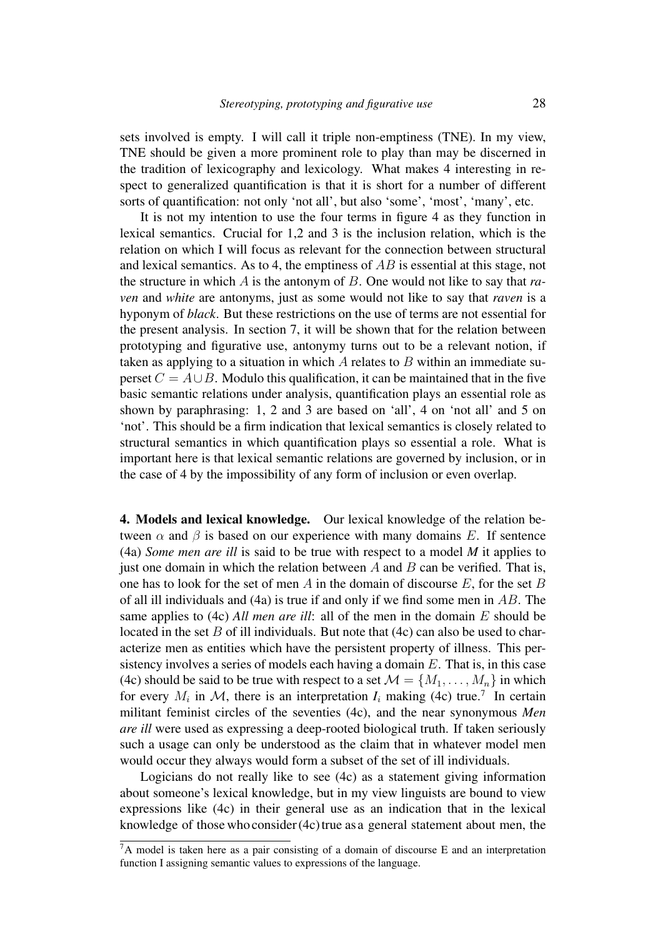sets involved is empty. I will call it triple non-emptiness (TNE). In my view, TNE should be given a more prominent role to play than may be discerned in the tradition of lexicography and lexicology. What makes 4 interesting in respect to generalized quantification is that it is short for a number of different sorts of quantification: not only 'not all', but also 'some', 'most', 'many', etc.

It is not my intention to use the four terms in figure 4 as they function in lexical semantics. Crucial for 1,2 and 3 is the inclusion relation, which is the relation on which I will focus as relevant for the connection between structural and lexical semantics. As to 4, the emptiness of *AB* is essential at this stage, not the structure in which *A* is the antonym of *B*. One would not like to say that *raven* and *white* are antonyms, just as some would not like to say that *raven* is a hyponym of *black*. But these restrictions on the use of terms are not essential for the present analysis. In section 7, it will be shown that for the relation between prototyping and figurative use, antonymy turns out to be a relevant notion, if taken as applying to a situation in which *A* relates to *B* within an immediate superset  $C = A \cup B$ . Modulo this qualification, it can be maintained that in the five basic semantic relations under analysis, quantification plays an essential role as shown by paraphrasing: 1, 2 and 3 are based on 'all', 4 on 'not all' and 5 on 'not'. This should be a firm indication that lexical semantics is closely related to structural semantics in which quantification plays so essential a role. What is important here is that lexical semantic relations are governed by inclusion, or in the case of 4 by the impossibility of any form of inclusion or even overlap.

4. Models and lexical knowledge. Our lexical knowledge of the relation between  $\alpha$  and  $\beta$  is based on our experience with many domains *E*. If sentence (4a) *Some men are ill* is said to be true with respect to a model *M* it applies to just one domain in which the relation between  $A$  and  $B$  can be verified. That is, one has to look for the set of men *A* in the domain of discourse *E*, for the set *B* of all ill individuals and (4a) is true if and only if we find some men in *AB*. The same applies to (4c) *All men are ill*: all of the men in the domain *E* should be located in the set *B* of ill individuals. But note that  $(4c)$  can also be used to characterize men as entities which have the persistent property of illness. This persistency involves a series of models each having a domain *E*. That is, in this case (4c) should be said to be true with respect to a set  $\mathcal{M} = \{M_1, \ldots, M_n\}$  in which for every  $M_i$  in  $M$ , there is an interpretation  $I_i$  making (4c) true.<sup>7</sup> In certain militant feminist circles of the seventies (4c), and the near synonymous *Men are ill* were used as expressing a deep-rooted biological truth. If taken seriously such a usage can only be understood as the claim that in whatever model men would occur they always would form a subset of the set of ill individuals.

Logicians do not really like to see (4c) as a statement giving information about someone's lexical knowledge, but in my view linguists are bound to view expressions like (4c) in their general use as an indication that in the lexical knowledge of those who consider  $(4c)$  true as a general statement about men, the

 ${}^{7}$ A model is taken here as a pair consisting of a domain of discourse E and an interpretation function I assigning semantic values to expressions of the language.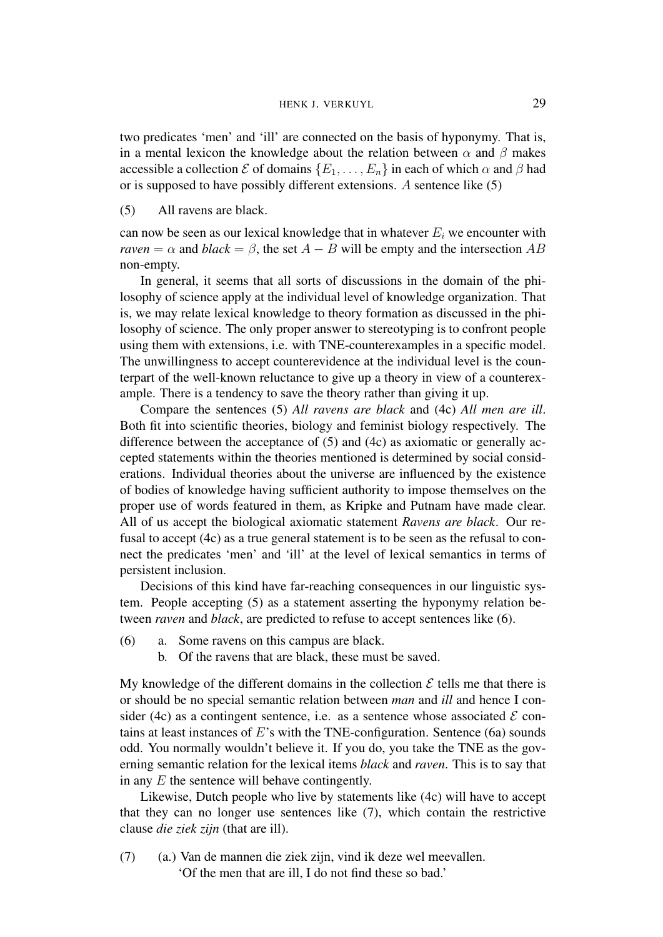two predicates 'men' and 'ill' are connected on the basis of hyponymy. That is, in a mental lexicon the knowledge about the relation between  $\alpha$  and  $\beta$  makes accessible a collection  $\mathcal E$  of domains  $\{E_1,\ldots,E_n\}$  in each of which  $\alpha$  and  $\beta$  had or is supposed to have possibly different extensions. *A* sentence like (5)

(5) All ravens are black.

can now be seen as our lexical knowledge that in whatever  $E_i$  we encounter with *raven* =  $\alpha$  and *black* =  $\beta$ , the set *A* – *B* will be empty and the intersection *AB* non-empty.

In general, it seems that all sorts of discussions in the domain of the philosophy of science apply at the individual level of knowledge organization. That is, we may relate lexical knowledge to theory formation as discussed in the philosophy of science. The only proper answer to stereotyping is to confront people using them with extensions, i.e. with TNE-counterexamples in a specific model. The unwillingness to accept counterevidence at the individual level is the counterpart of the well-known reluctance to give up a theory in view of a counterexample. There is a tendency to save the theory rather than giving it up.

Compare the sentences (5) *All ravens are black* and (4c) *All men are ill*. Both fit into scientific theories, biology and feminist biology respectively. The difference between the acceptance of (5) and (4c) as axiomatic or generally accepted statements within the theories mentioned is determined by social considerations. Individual theories about the universe are influenced by the existence of bodies of knowledge having sufficient authority to impose themselves on the proper use of words featured in them, as Kripke and Putnam have made clear. All of us accept the biological axiomatic statement *Ravens are black*. Our refusal to accept (4c) as a true general statement is to be seen as the refusal to connect the predicates 'men' and 'ill' at the level of lexical semantics in terms of persistent inclusion.

Decisions of this kind have far-reaching consequences in our linguistic system. People accepting (5) as a statement asserting the hyponymy relation between *raven* and *black*, are predicted to refuse to accept sentences like (6).

- (6) a. Some ravens on this campus are black.
	- b. Of the ravens that are black, these must be saved.

My knowledge of the different domains in the collection  $\mathcal E$  tells me that there is or should be no special semantic relation between *man* and *ill* and hence I consider (4c) as a contingent sentence, i.e. as a sentence whose associated  $\mathcal E$  contains at least instances of *E*'s with the TNE-configuration. Sentence (6a) sounds odd. You normally wouldn't believe it. If you do, you take the TNE as the governing semantic relation for the lexical items *black* and *raven*. This is to say that in any *E* the sentence will behave contingently.

Likewise, Dutch people who live by statements like (4c) will have to accept that they can no longer use sentences like (7), which contain the restrictive clause *die ziek zijn* (that are ill).

(7) (a.) Van de mannen die ziek zijn, vind ik deze wel meevallen. 'Of the men that are ill, I do not find these so bad.'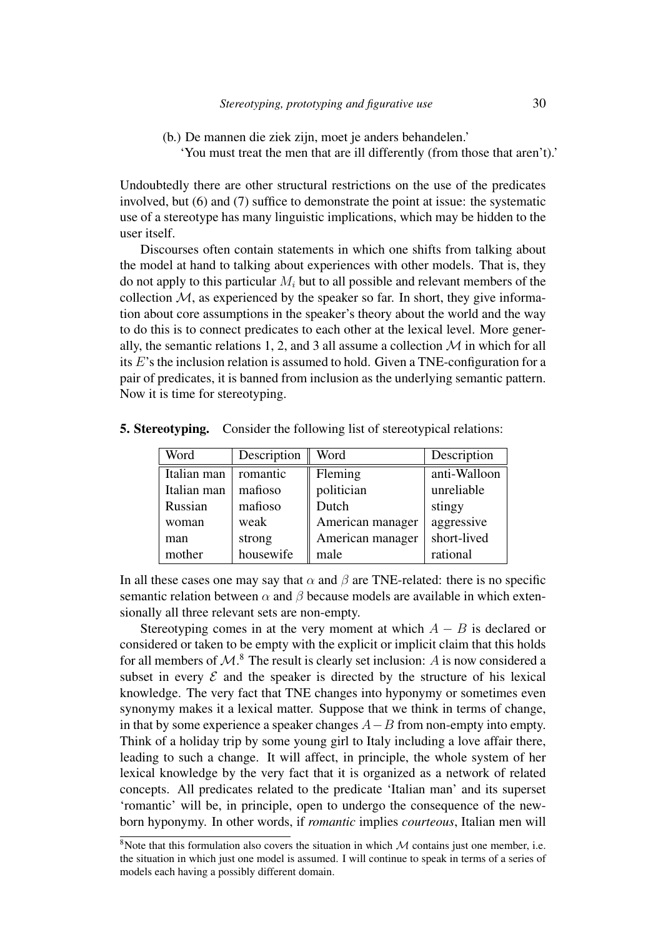- (b.) De mannen die ziek zijn, moet je anders behandelen.'
	- 'You must treat the men that are ill differently (from those that aren't).'

Undoubtedly there are other structural restrictions on the use of the predicates involved, but (6) and (7) suffice to demonstrate the point at issue: the systematic use of a stereotype has many linguistic implications, which may be hidden to the user itself.

Discourses often contain statements in which one shifts from talking about the model at hand to talking about experiences with other models. That is, they do not apply to this particular *M<sup>i</sup>* but to all possible and relevant members of the collection  $M$ , as experienced by the speaker so far. In short, they give information about core assumptions in the speaker's theory about the world and the way to do this is to connect predicates to each other at the lexical level. More generally, the semantic relations 1, 2, and 3 all assume a collection  $M$  in which for all its *E*'s the inclusion relation is assumed to hold. Given a TNE-configuration for a pair of predicates, it is banned from inclusion as the underlying semantic pattern. Now it is time for stereotyping.

| Word        | Description | Word             | Description  |
|-------------|-------------|------------------|--------------|
| Italian man | romantic    | Fleming          | anti-Walloon |
| Italian man | mafioso     | politician       | unreliable   |
| Russian     | mafioso     | Dutch            | stingy       |
| woman       | weak        | American manager | aggressive   |
| man         | strong      | American manager | short-lived  |
| mother      | housewife   | male             | rational     |

5. Stereotyping. Consider the following list of stereotypical relations:

In all these cases one may say that  $\alpha$  and  $\beta$  are TNE-related: there is no specific semantic relation between  $\alpha$  and  $\beta$  because models are available in which extensionally all three relevant sets are non-empty.

Stereotyping comes in at the very moment at which  $A - B$  is declared or considered or taken to be empty with the explicit or implicit claim that this holds for all members of  $\mathcal{M}$ <sup>8</sup>. The result is clearly set inclusion: *A* is now considered a subset in every  $\mathcal E$  and the speaker is directed by the structure of his lexical knowledge. The very fact that TNE changes into hyponymy or sometimes even synonymy makes it a lexical matter. Suppose that we think in terms of change, in that by some experience a speaker changes  $A - B$  from non-empty into empty. Think of a holiday trip by some young girl to Italy including a love affair there, leading to such a change. It will affect, in principle, the whole system of her lexical knowledge by the very fact that it is organized as a network of related concepts. All predicates related to the predicate 'Italian man' and its superset 'romantic' will be, in principle, open to undergo the consequence of the newborn hyponymy. In other words, if *romantic* implies *courteous*, Italian men will

 $8$ Note that this formulation also covers the situation in which  $M$  contains just one member, i.e. the situation in which just one model is assumed. I will continue to speak in terms of a series of models each having a possibly different domain.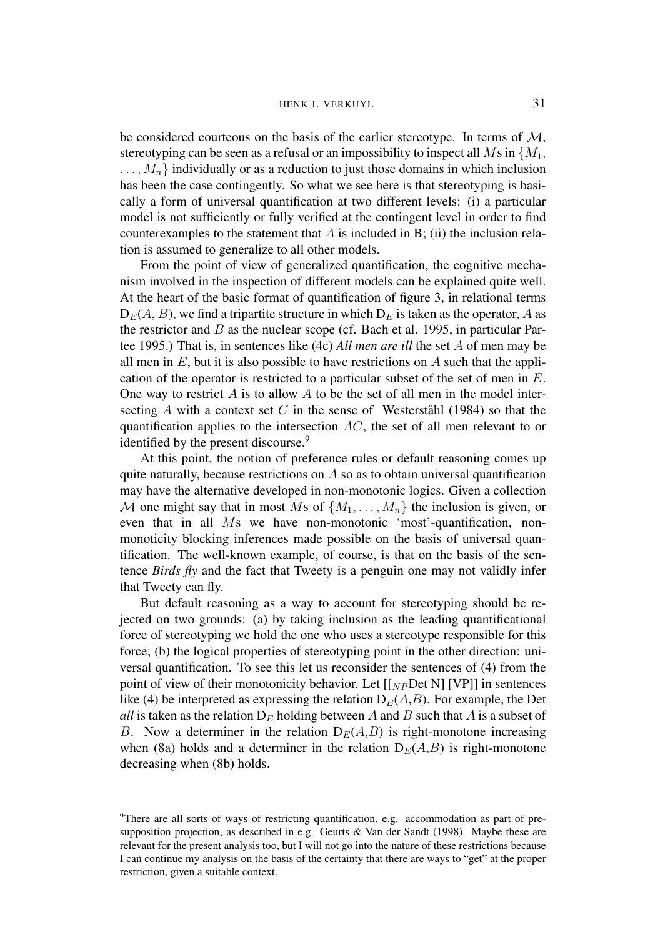be considered courteous on the basis of the earlier stereotype. In terms of *M*, stereotyping can be seen as a refusal or an impossibility to inspect all  $M$ s in  $\{M_1,$ *...,Mn}* individually or as a reduction to just those domains in which inclusion has been the case contingently. So what we see here is that stereotyping is basically a form of universal quantification at two different levels: (i) a particular model is not sufficiently or fully verified at the contingent level in order to find counterexamples to the statement that *A* is included in B; (ii) the inclusion relation is assumed to generalize to all other models.

From the point of view of generalized quantification, the cognitive mechanism involved in the inspection of different models can be explained quite well. At the heart of the basic format of quantification of figure 3, in relational terms  $D_E(A, B)$ , we find a tripartite structure in which  $D_E$  is taken as the operator, *A* as the restrictor and *B* as the nuclear scope (cf. Bach et al. 1995, in particular Partee 1995.) That is, in sentences like (4c) *All men are ill* the set *A* of men may be all men in *E*, but it is also possible to have restrictions on *A* such that the application of the operator is restricted to a particular subset of the set of men in *E*. One way to restrict *A* is to allow *A* to be the set of all men in the model intersecting A with a context set C in the sense of Westerstahl (1984) so that the quantification applies to the intersection *AC*, the set of all men relevant to or identified by the present discourse.<sup>9</sup>

At this point, the notion of preference rules or default reasoning comes up quite naturally, because restrictions on *A* so as to obtain universal quantification may have the alternative developed in non-monotonic logics. Given a collection *M* one might say that in most *M*s of  $\{M_1, \ldots, M_n\}$  the inclusion is given, or even that in all *M*s we have non-monotonic 'most'-quantification, nonmonoticity blocking inferences made possible on the basis of universal quantification. The well-known example, of course, is that on the basis of the sentence *Birds fly* and the fact that Tweety is a penguin one may not validly infer that Tweety can fly.

But default reasoning as a way to account for stereotyping should be rejected on two grounds: (a) by taking inclusion as the leading quantificational force of stereotyping we hold the one who uses a stereotype responsible for this force; (b) the logical properties of stereotyping point in the other direction: universal quantification. To see this let us reconsider the sentences of (4) from the point of view of their monotonicity behavior. Let  $[[<sub>NP</sub>Det N]$  [VP]] in sentences like (4) be interpreted as expressing the relation  $D_E(A, B)$ . For example, the Det *all* is taken as the relation  $D_E$  holding between *A* and *B* such that *A* is a subset of *B*. Now a determiner in the relation  $D_E(A,B)$  is right-monotone increasing when (8a) holds and a determiner in the relation  $D_E(A, B)$  is right-monotone decreasing when (8b) holds.

<sup>&</sup>lt;sup>9</sup>There are all sorts of ways of restricting quantification, e.g. accommodation as part of presupposition projection, as described in e.g. Geurts & Van der Sandt (1998). Maybe these are relevant for the present analysis too, but I will not go into the nature of these restrictions because I can continue my analysis on the basis of the certainty that there are ways to "get" at the proper restriction, given a suitable context.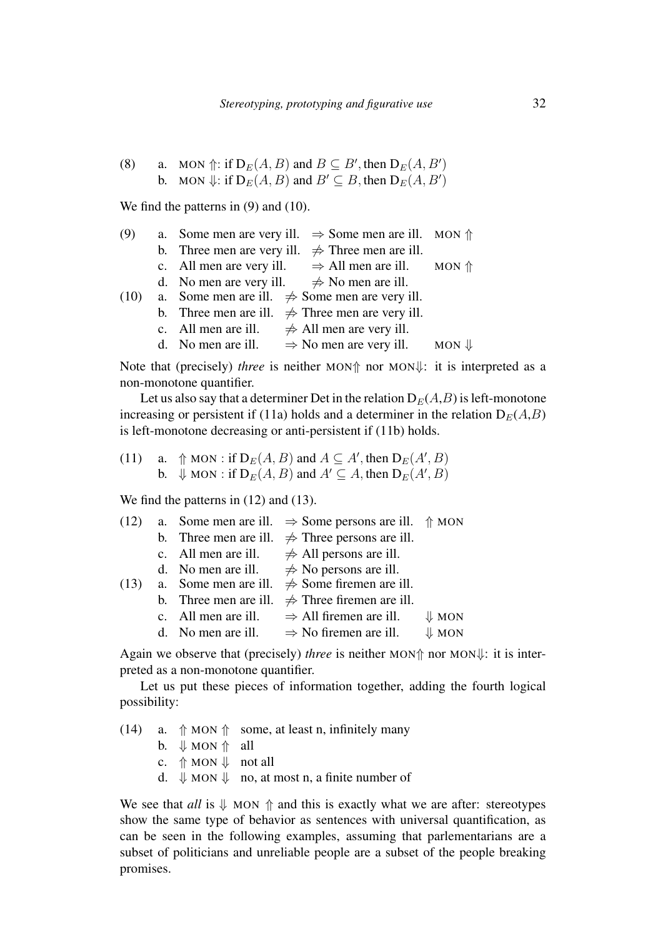(8) a. MON 
$$
\Uparrow
$$
: if  $D_E(A, B)$  and  $B \subseteq B'$ , then  $D_E(A, B')$   
b. MON  $\Downarrow$ : if  $D_E(A, B)$  and  $B' \subseteq B$ , then  $D_E(A, B')$ 

We find the patterns in (9) and (10).

| (9)  | a. Some men are very ill. $\Rightarrow$ Some men are ill. MON $\Uparrow$ |                              |                  |
|------|--------------------------------------------------------------------------|------------------------------|------------------|
|      | b. Three men are very ill. $\Rightarrow$ Three men are ill.              |                              |                  |
|      | c. All men are very ill. $\Rightarrow$ All men are ill. MON $\Uparrow$   |                              |                  |
|      | d. No men are very ill. $\Rightarrow$ No men are ill.                    |                              |                  |
| (10) | a. Some men are ill. $\Rightarrow$ Some men are very ill.                |                              |                  |
|      | b. Three men are ill. $\Rightarrow$ Three men are very ill.              |                              |                  |
|      | c. All men are ill.                                                      | $\neq$ All men are very ill. |                  |
|      | d. No men are ill. $\Rightarrow$ No men are very ill.                    |                              | $MON \Downarrow$ |
|      |                                                                          |                              |                  |

Note that (precisely) *three* is neither MON $\uparrow$  nor MON $\downarrow$ : it is interpreted as a non-monotone quantifier.

Let us also say that a determiner Det in the relation  $D_E(A, B)$  is left-monotone increasing or persistent if (11a) holds and a determiner in the relation  $D_E(A,B)$ is left-monotone decreasing or anti-persistent if (11b) holds.

(11) a. 
$$
\Uparrow
$$
 MON : if  $D_E(A, B)$  and  $A \subseteq A'$ , then  $D_E(A', B)$   
b.  $\Downarrow$  MON : if  $D_E(A, B)$  and  $A' \subseteq A$ , then  $D_E(A', B)$ 

We find the patterns in  $(12)$  and  $(13)$ .

| (12) |                       | a. Some men are ill. $\Rightarrow$ Some persons are ill. $\Uparrow$ MON |                  |
|------|-----------------------|-------------------------------------------------------------------------|------------------|
|      |                       | b. Three men are ill. $\Rightarrow$ Three persons are ill.              |                  |
|      | c. All men are ill.   | $\neq$ All persons are ill.                                             |                  |
|      |                       | d. No men are ill. $\Rightarrow$ No persons are ill.                    |                  |
| (13) |                       | a. Some men are ill. $\Rightarrow$ Some firemen are ill.                |                  |
|      | b. Three men are ill. | $\Rightarrow$ Three firemen are ill.                                    |                  |
|      |                       | c. All men are ill. $\Rightarrow$ All firemen are ill.                  | $\downarrow$ MON |
|      |                       | d. No men are ill. $\Rightarrow$ No firemen are ill.                    | $\downarrow$ MON |
|      |                       |                                                                         |                  |

Again we observe that (precisely) *three* is neither MON $\uparrow$  nor MON $\downarrow$ : it is interpreted as a non-monotone quantifier.

Let us put these pieces of information together, adding the fourth logical possibility:

(14) a.  $\Uparrow$  MON  $\Uparrow$  some, at least n, infinitely many b.  $\Downarrow$  MON  $\Uparrow$  all c.  $\Uparrow$  MON  $\Downarrow$  not all d.  $\Downarrow$  MON  $\Downarrow$  no, at most n, a finite number of

We see that  $all$  is  $\Downarrow$  MON  $\Uparrow$  and this is exactly what we are after: stereotypes show the same type of behavior as sentences with universal quantification, as can be seen in the following examples, assuming that parlementarians are a subset of politicians and unreliable people are a subset of the people breaking promises.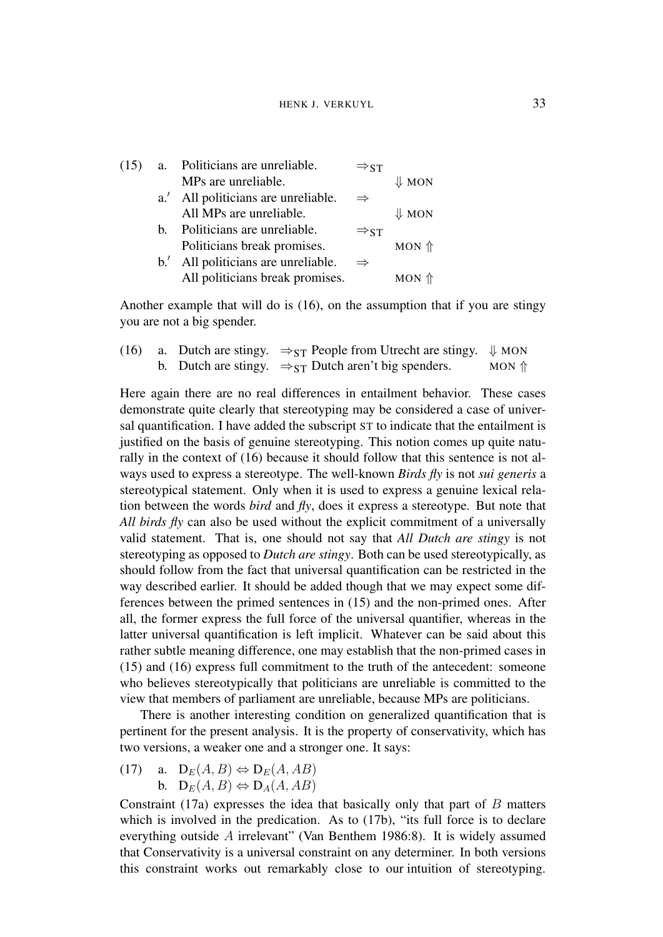| (15) | a. Politicians are unreliable.      | $\Rightarrow$ ST |                  |
|------|-------------------------------------|------------------|------------------|
|      | MPs are unreliable.                 |                  | $\Downarrow$ MON |
|      | a.' All politicians are unreliable. | $\Rightarrow$    |                  |
|      | All MPs are unreliable.             |                  | $\Downarrow$ MON |
|      | b. Politicians are unreliable.      | $\Rightarrow$ st |                  |
|      | Politicians break promises.         |                  | $MON$ $\Uparrow$ |
|      | b.' All politicians are unreliable. | $\Rightarrow$    |                  |
|      | All politicians break promises.     |                  | $MON$ $\Uparrow$ |
|      |                                     |                  |                  |

Another example that will do is  $(16)$ , on the assumption that if you are stingy you are not a big spender.

|  | (16) a. Dutch are stingy. $\Rightarrow_{ST}$ People from Utrecht are stingy. $\Downarrow$ MON |                  |
|--|-----------------------------------------------------------------------------------------------|------------------|
|  | b. Dutch are stingy. $\Rightarrow_{ST}$ Dutch aren't big spenders.                            | $MON$ $\Uparrow$ |

Here again there are no real differences in entailment behavior. These cases demonstrate quite clearly that stereotyping may be considered a case of universal quantification. I have added the subscript ST to indicate that the entailment is justified on the basis of genuine stereotyping. This notion comes up quite naturally in the context of (16) because it should follow that this sentence is not always used to express a stereotype. The well-known *Birds fly* is not *sui generis* a stereotypical statement. Only when it is used to express a genuine lexical relation between the words *bird* and *fly*, does it express a stereotype. But note that *All birds fly* can also be used without the explicit commitment of a universally valid statement. That is, one should not say that *All Dutch are stingy* is not stereotyping as opposed to *Dutch are stingy*. Both can be used stereotypically, as should follow from the fact that universal quantification can be restricted in the way described earlier. It should be added though that we may expect some differences between the primed sentences in (15) and the non-primed ones. After all, the former express the full force of the universal quantifier, whereas in the latter universal quantification is left implicit. Whatever can be said about this rather subtle meaning difference, one may establish that the non-primed cases in (15) and (16) express full commitment to the truth of the antecedent: someone who believes stereotypically that politicians are unreliable is committed to the view that members of parliament are unreliable, because MPs are politicians.

There is another interesting condition on generalized quantification that is pertinent for the present analysis. It is the property of conservativity, which has two versions, a weaker one and a stronger one. It says:

- (17) a.  $D_E(A, B) \Leftrightarrow D_E(A, AB)$ 
	- $\mathbf{b}$ .  $\mathbf{D}_E(A, B) \Leftrightarrow \mathbf{D}_A(A, AB)$

Constraint (17a) expresses the idea that basically only that part of *B* matters which is involved in the predication. As to  $(17b)$ , "its full force is to declare everything outside *A* irrelevant" (Van Benthem 1986:8). It is widely assumed that Conservativity is a universal constraint on any determiner. In both versions this constraint works out remarkably close to our intuition of stereotyping.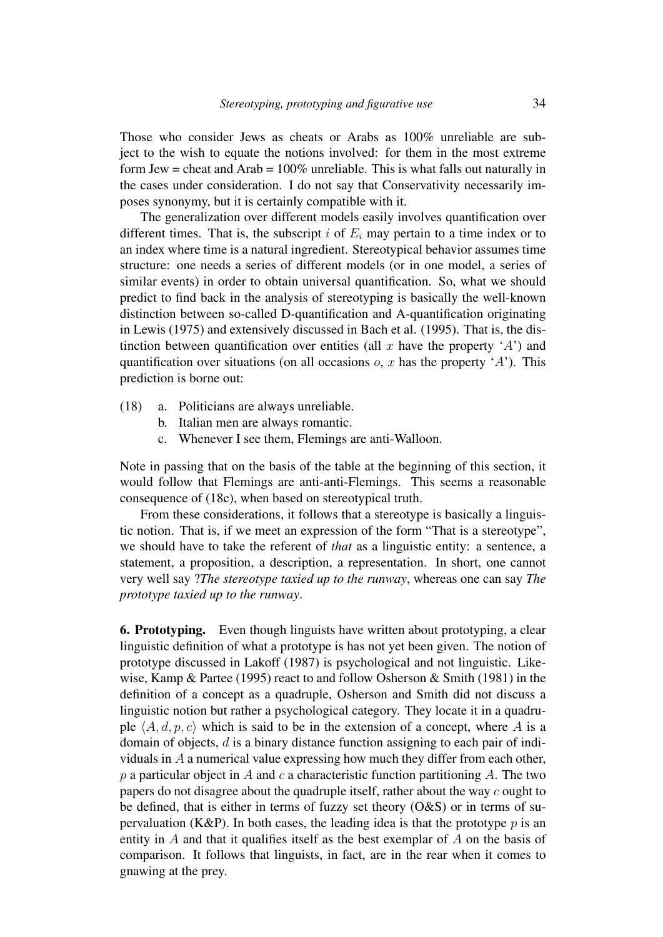Those who consider Jews as cheats or Arabs as 100% unreliable are subject to the wish to equate the notions involved: for them in the most extreme form Jew = cheat and  $Arab = 100\%$  unreliable. This is what falls out naturally in the cases under consideration. I do not say that Conservativity necessarily imposes synonymy, but it is certainly compatible with it.

The generalization over different models easily involves quantification over different times. That is, the subscript  $i$  of  $E_i$  may pertain to a time index or to an index where time is a natural ingredient. Stereotypical behavior assumes time structure: one needs a series of different models (or in one model, a series of similar events) in order to obtain universal quantification. So, what we should predict to find back in the analysis of stereotyping is basically the well-known distinction between so-called D-quantification and A-quantification originating in Lewis (1975) and extensively discussed in Bach et al. (1995). That is, the distinction between quantification over entities (all  $x$  have the property  $A'$ ) and quantification over situations (on all occasions *o*, *x* has the property '*A*'). This prediction is borne out:

- (18) a. Politicians are always unreliable.
	- b. Italian men are always romantic.
	- c. Whenever I see them, Flemings are anti-Walloon.

Note in passing that on the basis of the table at the beginning of this section, it would follow that Flemings are anti-anti-Flemings. This seems a reasonable consequence of (18c), when based on stereotypical truth.

From these considerations, it follows that a stereotype is basically a linguistic notion. That is, if we meet an expression of the form "That is a stereotype", we should have to take the referent of *that* as a linguistic entity: a sentence, a statement, a proposition, a description, a representation. In short, one cannot very well say ?*The stereotype taxied up to the runway*, whereas one can say *The prototype taxied up to the runway*.

6. Prototyping. Even though linguists have written about prototyping, a clear linguistic definition of what a prototype is has not yet been given. The notion of prototype discussed in Lakoff (1987) is psychological and not linguistic. Likewise, Kamp & Partee (1995) react to and follow Osherson & Smith (1981) in the definition of a concept as a quadruple, Osherson and Smith did not discuss a linguistic notion but rather a psychological category. They locate it in a quadruple  $\langle A, d, p, c \rangle$  which is said to be in the extension of a concept, where *A* is a domain of objects, *d* is a binary distance function assigning to each pair of individuals in *A* a numerical value expressing how much they differ from each other, *p* a particular object in *A* and *c* a characteristic function partitioning *A*. The two papers do not disagree about the quadruple itself, rather about the way *c* ought to be defined, that is either in terms of fuzzy set theory  $(O&S)$  or in terms of supervaluation (K&P). In both cases, the leading idea is that the prototype  $p$  is an entity in *A* and that it qualifies itself as the best exemplar of *A* on the basis of comparison. It follows that linguists, in fact, are in the rear when it comes to gnawing at the prey.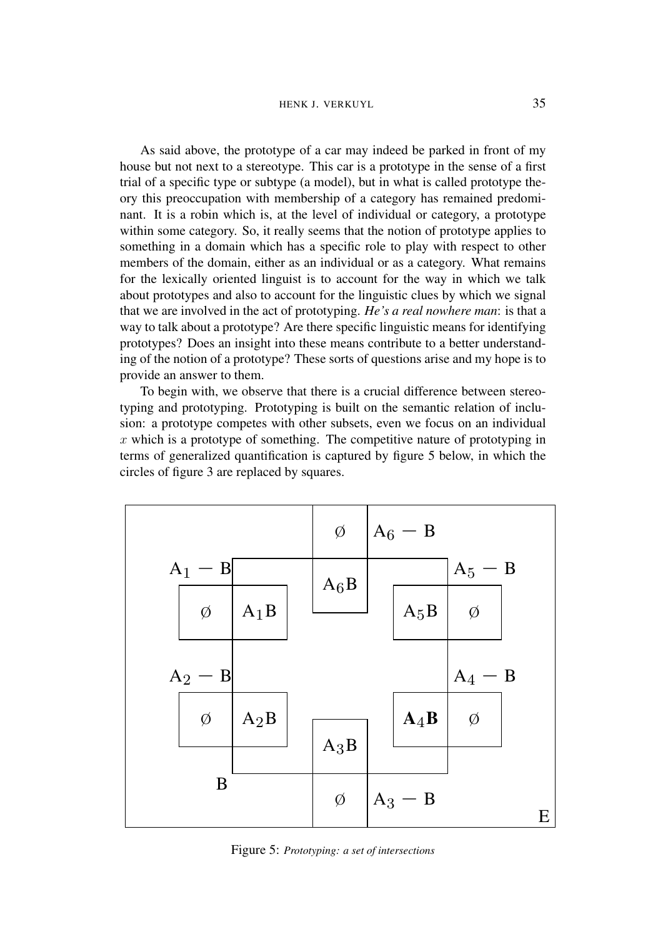As said above, the prototype of a car may indeed be parked in front of my house but not next to a stereotype. This car is a prototype in the sense of a first trial of a specific type or subtype (a model), but in what is called prototype theory this preoccupation with membership of a category has remained predominant. It is a robin which is, at the level of individual or category, a prototype within some category. So, it really seems that the notion of prototype applies to something in a domain which has a specific role to play with respect to other members of the domain, either as an individual or as a category. What remains for the lexically oriented linguist is to account for the way in which we talk about prototypes and also to account for the linguistic clues by which we signal that we are involved in the act of prototyping. *He's a real nowhere man*: is that a way to talk about a prototype? Are there specific linguistic means for identifying prototypes? Does an insight into these means contribute to a better understanding of the notion of a prototype? These sorts of questions arise and my hope is to provide an answer to them.

To begin with, we observe that there is a crucial difference between stereotyping and prototyping. Prototyping is built on the semantic relation of inclusion: a prototype competes with other subsets, even we focus on an individual *x* which is a prototype of something. The competitive nature of prototyping in terms of generalized quantification is captured by figure 5 below, in which the circles of figure 3 are replaced by squares.



Figure 5: *Prototyping: a set of intersections*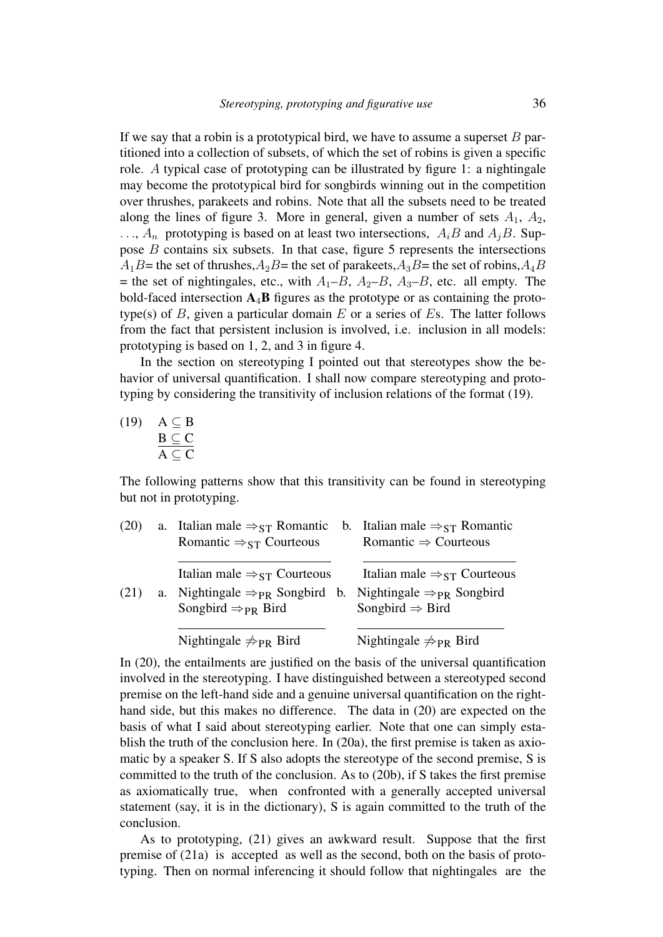If we say that a robin is a prototypical bird, we have to assume a superset *B* partitioned into a collection of subsets, of which the set of robins is given a specific role. *A* typical case of prototyping can be illustrated by figure 1: a nightingale may become the prototypical bird for songbirds winning out in the competition over thrushes, parakeets and robins. Note that all the subsets need to be treated along the lines of figure 3. More in general, given a number of sets  $A_1$ ,  $A_2$ ,  $\ldots$ ,  $A_n$  prototyping is based on at least two intersections,  $A_iB$  and  $A_jB$ . Suppose *B* contains six subsets. In that case, figure 5 represents the intersections  $A_1B$ = the set of thrushes, $A_2B$ = the set of parakeets, $A_3B$ = the set of robins, $A_4B$  $=$  the set of nightingales, etc., with  $A_1$ – $B$ ,  $A_2$ – $B$ ,  $A_3$ – $B$ , etc. all empty. The bold-faced intersection  $A_4B$  figures as the prototype or as containing the prototype(s) of *B*, given a particular domain *E* or a series of *E*s. The latter follows from the fact that persistent inclusion is involved, i.e. inclusion in all models: prototyping is based on 1, 2, and 3 in figure 4.

In the section on stereotyping I pointed out that stereotypes show the behavior of universal quantification. I shall now compare stereotyping and prototyping by considering the transitivity of inclusion relations of the format (19).

 $(19)$   $A \subseteq B$  $\underline{B} \subseteq C$  $A \subseteq C$ 

The following patterns show that this transitivity can be found in stereotyping but not in prototyping.

| (20) |    | a. Italian male $\Rightarrow$ $_{ST}$ Romantic     | b. Italian male $\Rightarrow$ <sub>ST</sub> Romantic |
|------|----|----------------------------------------------------|------------------------------------------------------|
|      |    | Romantic $\Rightarrow_{ST}$ Courteous              | Romantic $\Rightarrow$ Courteous                     |
|      |    | Italian male $\Rightarrow$ <sub>ST</sub> Courteous | Italian male $\Rightarrow$ <sub>ST</sub> Courteous   |
|      |    |                                                    |                                                      |
| (21) | a. | Nightingale $\Rightarrow_{PR}$ Songbird b.         | Nightingale $\Rightarrow_{PR}$ Songbird              |
|      |    | Songbird $\Rightarrow_{PR}$ Bird                   | Songbird $\Rightarrow$ Bird                          |
|      |    |                                                    |                                                      |
|      |    | Nightingale $\neq_{PR}$ Bird                       | Nightingale $\neq_{PR}$ Bird                         |

In (20), the entailments are justified on the basis of the universal quantification involved in the stereotyping. I have distinguished between a stereotyped second premise on the left-hand side and a genuine universal quantification on the righthand side, but this makes no difference. The data in (20) are expected on the basis of what I said about stereotyping earlier. Note that one can simply establish the truth of the conclusion here. In (20a), the first premise is taken as axiomatic by a speaker S. If S also adopts the stereotype of the second premise, S is committed to the truth of the conclusion. As to (20b), if S takes the first premise as axiomatically true, when confronted with a generally accepted universal statement (say, it is in the dictionary), S is again committed to the truth of the conclusion.

As to prototyping, (21) gives an awkward result. Suppose that the first premise of (21a) is accepted as well as the second, both on the basis of prototyping. Then on normal inferencing it should follow that nightingales are the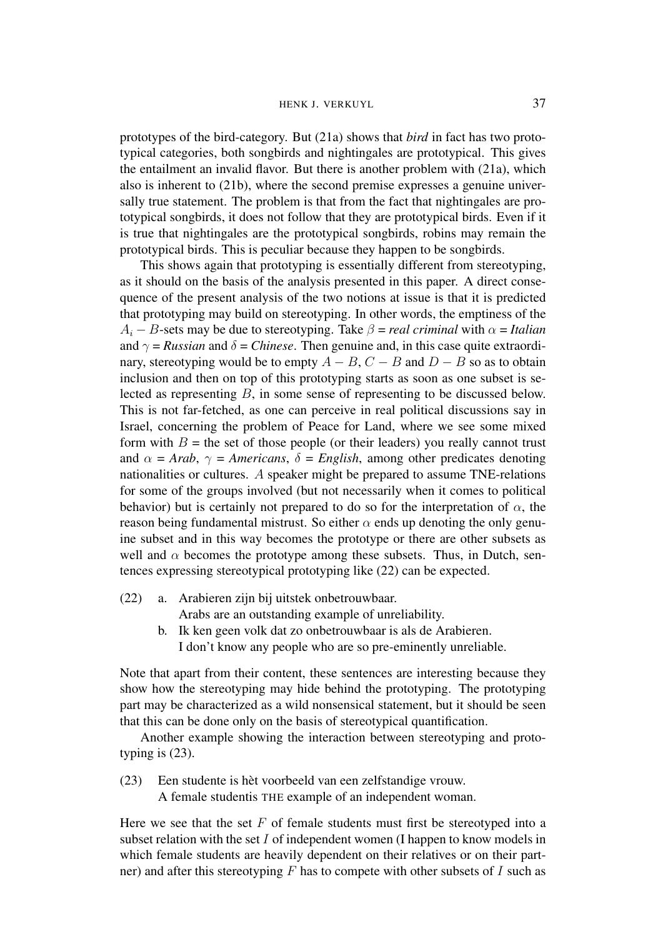prototypes of the bird-category. But (21a) shows that *bird* in fact has two prototypical categories, both songbirds and nightingales are prototypical. This gives the entailment an invalid flavor. But there is another problem with (21a), which also is inherent to (21b), where the second premise expresses a genuine universally true statement. The problem is that from the fact that nightingales are prototypical songbirds, it does not follow that they are prototypical birds. Even if it is true that nightingales are the prototypical songbirds, robins may remain the prototypical birds. This is peculiar because they happen to be songbirds.

This shows again that prototyping is essentially different from stereotyping, as it should on the basis of the analysis presented in this paper. A direct consequence of the present analysis of the two notions at issue is that it is predicted that prototyping may build on stereotyping. In other words, the emptiness of the  $A_i - B$ -sets may be due to stereotyping. Take  $\beta$  = *real criminal* with  $\alpha$  = *Italian* and  $\gamma$  = *Russian* and  $\delta$  = *Chinese*. Then genuine and, in this case quite extraordinary, stereotyping would be to empty  $A - B$ ,  $C - B$  and  $D - B$  so as to obtain inclusion and then on top of this prototyping starts as soon as one subset is selected as representing *B*, in some sense of representing to be discussed below. This is not far-fetched, as one can perceive in real political discussions say in Israel, concerning the problem of Peace for Land, where we see some mixed form with  $B =$  the set of those people (or their leaders) you really cannot trust and  $\alpha = Arab$ ,  $\gamma = Americans$ ,  $\delta = English$ , among other predicates denoting nationalities or cultures. *A* speaker might be prepared to assume TNE-relations for some of the groups involved (but not necessarily when it comes to political behavior) but is certainly not prepared to do so for the interpretation of  $\alpha$ , the reason being fundamental mistrust. So either  $\alpha$  ends up denoting the only genuine subset and in this way becomes the prototype or there are other subsets as well and  $\alpha$  becomes the prototype among these subsets. Thus, in Dutch, sentences expressing stereotypical prototyping like (22) can be expected.

(22) a. Arabieren zijn bij uitstek onbetrouwbaar.

Arabs are an outstanding example of unreliability.

b. Ik ken geen volk dat zo onbetrouwbaar is als de Arabieren. I don't know any people who are so pre-eminently unreliable.

Note that apart from their content, these sentences are interesting because they show how the stereotyping may hide behind the prototyping. The prototyping part may be characterized as a wild nonsensical statement, but it should be seen that this can be done only on the basis of stereotypical quantification.

Another example showing the interaction between stereotyping and prototyping is (23).

(23) Een studente is het voorbeeld van een zelfstandige vrouw. ` A female studentis THE example of an independent woman.

Here we see that the set *F* of female students must first be stereotyped into a subset relation with the set *I* of independent women (I happen to know models in which female students are heavily dependent on their relatives or on their partner) and after this stereotyping *F* has to compete with other subsets of *I* such as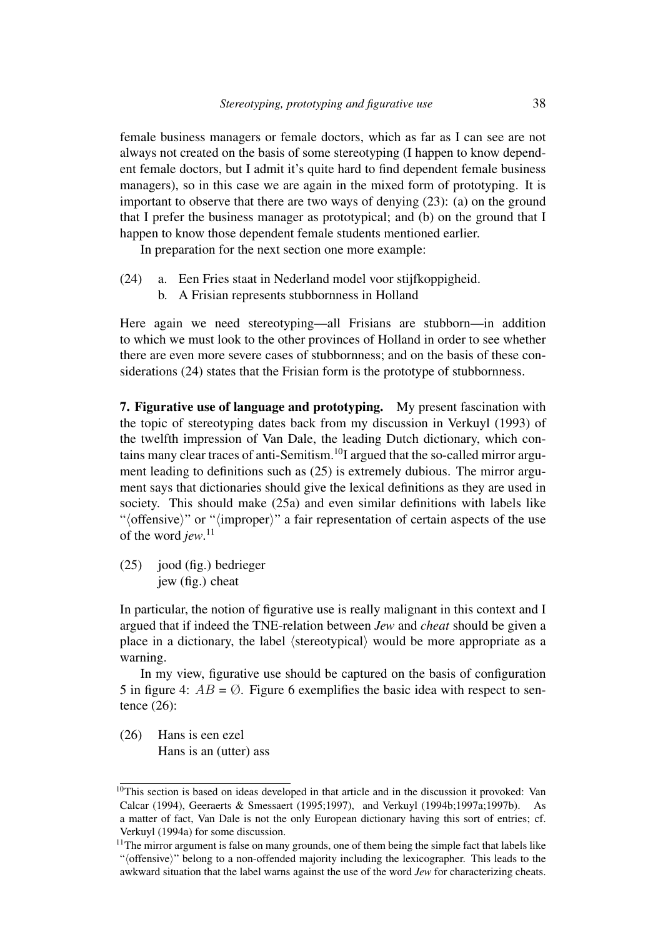female business managers or female doctors, which as far as I can see are not always not created on the basis of some stereotyping (I happen to know dependent female doctors, but I admit it's quite hard to find dependent female business managers), so in this case we are again in the mixed form of prototyping. It is important to observe that there are two ways of denying (23): (a) on the ground that I prefer the business manager as prototypical; and (b) on the ground that I happen to know those dependent female students mentioned earlier.

In preparation for the next section one more example:

- (24) a. Een Fries staat in Nederland model voor stijfkoppigheid.
	- b. A Frisian represents stubbornness in Holland

Here again we need stereotyping—all Frisians are stubborn—in addition to which we must look to the other provinces of Holland in order to see whether there are even more severe cases of stubbornness; and on the basis of these considerations (24) states that the Frisian form is the prototype of stubbornness.

7. Figurative use of language and prototyping. My present fascination with the topic of stereotyping dates back from my discussion in Verkuyl (1993) of the twelfth impression of Van Dale, the leading Dutch dictionary, which contains many clear traces of anti-Semitism.10I argued that the so-called mirror argument leading to definitions such as (25) is extremely dubious. The mirror argument says that dictionaries should give the lexical definitions as they are used in society. This should make (25a) and even similar definitions with labels like " $\langle$  offensive)" or " $\langle$  improper $\rangle$ " a fair representation of certain aspects of the use of the word *jew*. 11

(25) jood (fig.) bedrieger jew (fig.) cheat

In particular, the notion of figurative use is really malignant in this context and I argued that if indeed the TNE-relation between *Jew* and *cheat* should be given a place in a dictionary, the label  $\langle$  stereotypical $\rangle$  would be more appropriate as a warning.

In my view, figurative use should be captured on the basis of configuration 5 in figure 4:  $AB = \emptyset$ . Figure 6 exemplifies the basic idea with respect to sentence (26):

(26) Hans is een ezel Hans is an (utter) ass

<sup>&</sup>lt;sup>10</sup>This section is based on ideas developed in that article and in the discussion it provoked: Van Calcar (1994), Geeraerts & Smessaert (1995;1997), and Verkuyl (1994b;1997a;1997b). As a matter of fact, Van Dale is not the only European dictionary having this sort of entries; cf. Verkuyl (1994a) for some discussion.

 $11$ The mirror argument is false on many grounds, one of them being the simple fact that labels like "(offensive)" belong to a non-offended majority including the lexicographer. This leads to the awkward situation that the label warns against the use of the word *Jew* for characterizing cheats.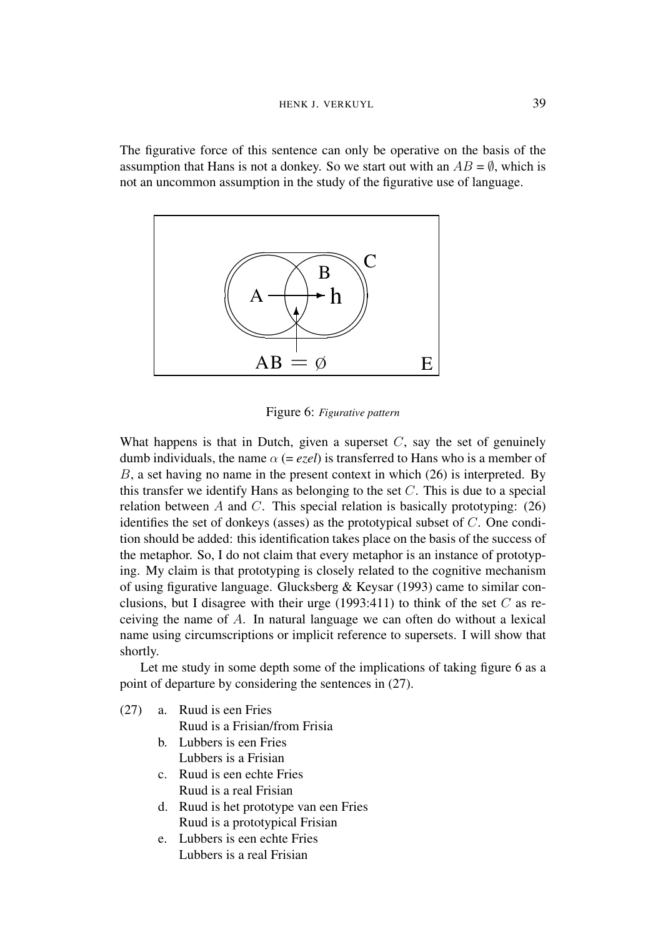The figurative force of this sentence can only be operative on the basis of the assumption that Hans is not a donkey. So we start out with an  $AB = \emptyset$ , which is not an uncommon assumption in the study of the figurative use of language.



Figure 6: *Figurative pattern*

What happens is that in Dutch, given a superset *C*, say the set of genuinely dumb individuals, the name  $\alpha$  (= *ezel*) is transferred to Hans who is a member of *B*, a set having no name in the present context in which (26) is interpreted. By this transfer we identify Hans as belonging to the set *C*. This is due to a special relation between *A* and *C*. This special relation is basically prototyping: (26) identifies the set of donkeys (asses) as the prototypical subset of *C*. One condition should be added: this identification takes place on the basis of the success of the metaphor. So, I do not claim that every metaphor is an instance of prototyping. My claim is that prototyping is closely related to the cognitive mechanism of using figurative language. Glucksberg & Keysar (1993) came to similar conclusions, but I disagree with their urge  $(1993:411)$  to think of the set C as receiving the name of *A*. In natural language we can often do without a lexical name using circumscriptions or implicit reference to supersets. I will show that shortly.

Let me study in some depth some of the implications of taking figure 6 as a point of departure by considering the sentences in (27).

- (27) a. Ruud is een Fries Ruud is a Frisian/from Frisia
	- b. Lubbers is een Fries Lubbers is a Frisian
	- c. Ruud is een echte Fries Ruud is a real Frisian
	- d. Ruud is het prototype van een Fries Ruud is a prototypical Frisian
	- e. Lubbers is een echte Fries Lubbers is a real Frisian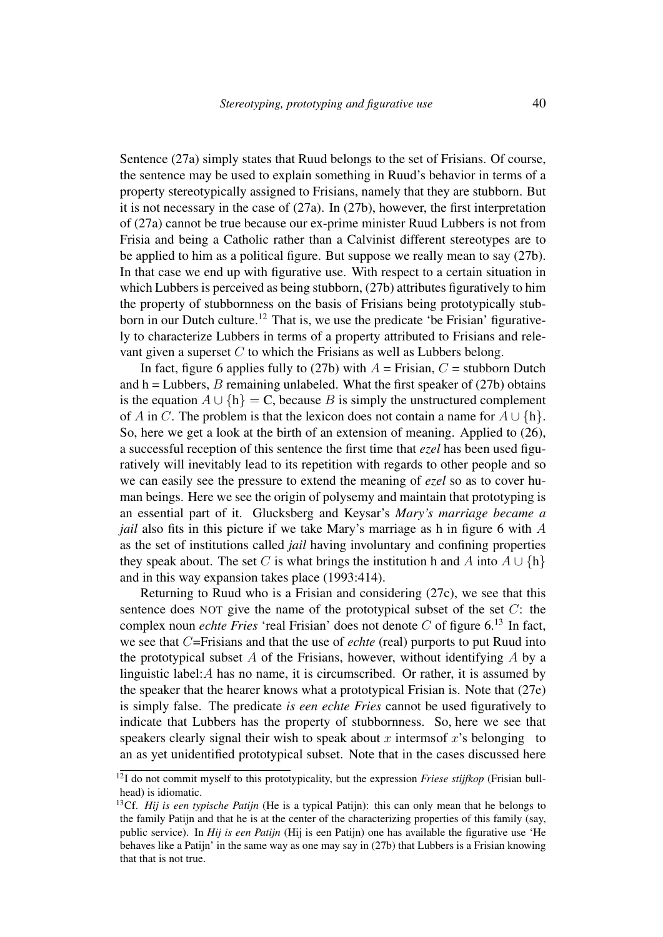Sentence (27a) simply states that Ruud belongs to the set of Frisians. Of course, the sentence may be used to explain something in Ruud's behavior in terms of a property stereotypically assigned to Frisians, namely that they are stubborn. But it is not necessary in the case of (27a). In (27b), however, the first interpretation of (27a) cannot be true because our ex-prime minister Ruud Lubbers is not from Frisia and being a Catholic rather than a Calvinist different stereotypes are to be applied to him as a political figure. But suppose we really mean to say (27b). In that case we end up with figurative use. With respect to a certain situation in which Lubbers is perceived as being stubborn, (27b) attributes figuratively to him the property of stubbornness on the basis of Frisians being prototypically stubborn in our Dutch culture.<sup>12</sup> That is, we use the predicate 'be Frisian' figuratively to characterize Lubbers in terms of a property attributed to Frisians and relevant given a superset *C* to which the Frisians as well as Lubbers belong.

In fact, figure 6 applies fully to (27b) with  $A =$  Frisian,  $C =$  stubborn Dutch and  $h =$  Lubbers, *B* remaining unlabeled. What the first speaker of (27b) obtains is the equation  $A \cup \{h\} = C$ , because *B* is simply the unstructured complement of *A* in *C*. The problem is that the lexicon does not contain a name for  $A \cup \{h\}$ . So, here we get a look at the birth of an extension of meaning. Applied to (26), a successful reception of this sentence the first time that *ezel* has been used figuratively will inevitably lead to its repetition with regards to other people and so we can easily see the pressure to extend the meaning of *ezel* so as to cover human beings. Here we see the origin of polysemy and maintain that prototyping is an essential part of it. Glucksberg and Keysar's *Mary's marriage became a jail* also fits in this picture if we take Mary's marriage as h in figure 6 with *A* as the set of institutions called *jail* having involuntary and confining properties they speak about. The set *C* is what brings the institution h and *A* into  $A \cup \{h\}$ and in this way expansion takes place (1993:414).

Returning to Ruud who is a Frisian and considering (27c), we see that this sentence does NOT give the name of the prototypical subset of the set *C*: the complex noun *echte Fries* 'real Frisian' does not denote  $C$  of figure  $6^{13}$  In fact, we see that *C*=Frisians and that the use of *echte* (real) purports to put Ruud into the prototypical subset *A* of the Frisians, however, without identifying *A* by a linguistic label:*A* has no name, it is circumscribed. Or rather, it is assumed by the speaker that the hearer knows what a prototypical Frisian is. Note that (27e) is simply false. The predicate *is een echte Fries* cannot be used figuratively to indicate that Lubbers has the property of stubbornness. So, here we see that speakers clearly signal their wish to speak about  $x$  interms of  $x$ 's belonging to an as yet unidentified prototypical subset. Note that in the cases discussed here

<sup>12</sup>I do not commit myself to this prototypicality, but the expression *Friese stijfkop* (Frisian bullhead) is idiomatic.

<sup>13</sup>Cf. *Hij is een typische Patijn* (He is a typical Patijn): this can only mean that he belongs to the family Patijn and that he is at the center of the characterizing properties of this family (say, public service). In *Hij is een Patijn* (Hij is een Patijn) one has available the figurative use 'He behaves like a Patijn' in the same way as one may say in (27b) that Lubbers is a Frisian knowing that that is not true.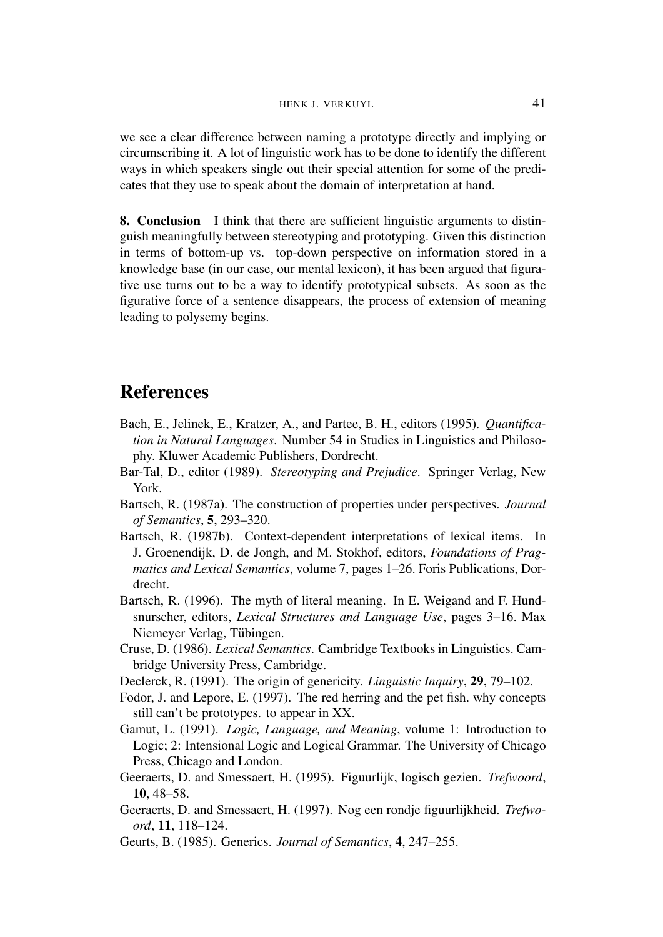we see a clear difference between naming a prototype directly and implying or circumscribing it. A lot of linguistic work has to be done to identify the different ways in which speakers single out their special attention for some of the predicates that they use to speak about the domain of interpretation at hand.

8. Conclusion I think that there are sufficient linguistic arguments to distinguish meaningfully between stereotyping and prototyping. Given this distinction in terms of bottom-up vs. top-down perspective on information stored in a knowledge base (in our case, our mental lexicon), it has been argued that figurative use turns out to be a way to identify prototypical subsets. As soon as the figurative force of a sentence disappears, the process of extension of meaning leading to polysemy begins.

## References

- Bach, E., Jelinek, E., Kratzer, A., and Partee, B. H., editors (1995). *Quantification in Natural Languages*. Number 54 in Studies in Linguistics and Philosophy. Kluwer Academic Publishers, Dordrecht.
- Bar-Tal, D., editor (1989). *Stereotyping and Prejudice*. Springer Verlag, New York.
- Bartsch, R. (1987a). The construction of properties under perspectives. *Journal of Semantics*, 5, 293–320.
- Bartsch, R. (1987b). Context-dependent interpretations of lexical items. In J. Groenendijk, D. de Jongh, and M. Stokhof, editors, *Foundations of Pragmatics and Lexical Semantics*, volume 7, pages 1–26. Foris Publications, Dordrecht.
- Bartsch, R. (1996). The myth of literal meaning. In E. Weigand and F. Hundsnurscher, editors, *Lexical Structures and Language Use*, pages 3–16. Max Niemeyer Verlag, Tübingen.
- Cruse, D. (1986). *Lexical Semantics*. Cambridge Textbooks in Linguistics. Cambridge University Press, Cambridge.
- Declerck, R. (1991). The origin of genericity. *Linguistic Inquiry*, 29, 79–102.
- Fodor, J. and Lepore, E. (1997). The red herring and the pet fish. why concepts still can't be prototypes. to appear in XX.
- Gamut, L. (1991). *Logic, Language, and Meaning*, volume 1: Introduction to Logic; 2: Intensional Logic and Logical Grammar. The University of Chicago Press, Chicago and London.
- Geeraerts, D. and Smessaert, H. (1995). Figuurlijk, logisch gezien. *Trefwoord*, 10, 48–58.
- Geeraerts, D. and Smessaert, H. (1997). Nog een rondje figuurlijkheid. *Trefwoord*, 11, 118–124.
- Geurts, B. (1985). Generics. *Journal of Semantics*, 4, 247–255.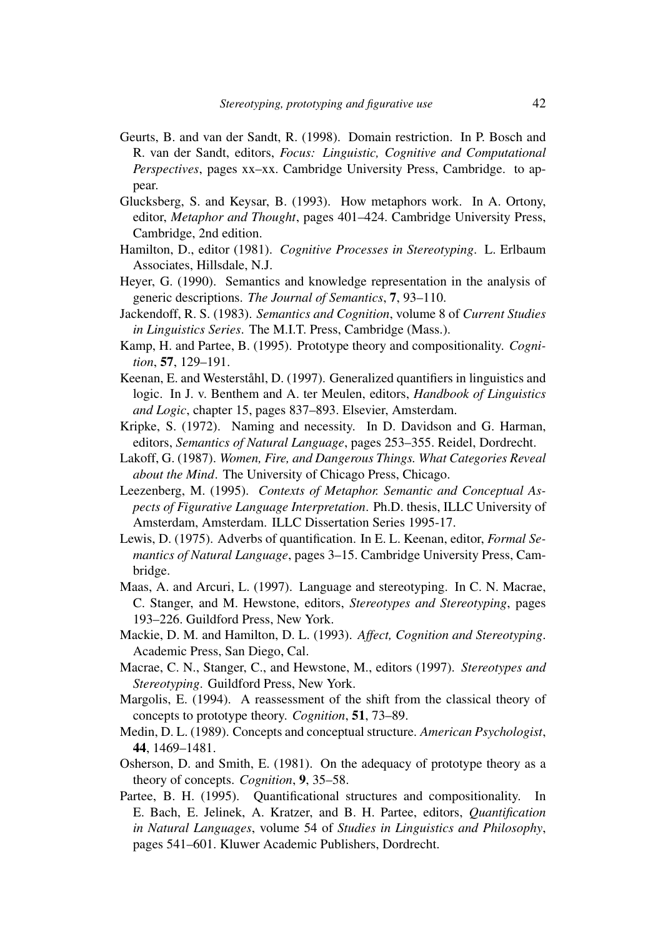- Geurts, B. and van der Sandt, R. (1998). Domain restriction. In P. Bosch and R. van der Sandt, editors, *Focus: Linguistic, Cognitive and Computational Perspectives*, pages xx–xx. Cambridge University Press, Cambridge. to appear.
- Glucksberg, S. and Keysar, B. (1993). How metaphors work. In A. Ortony, editor, *Metaphor and Thought*, pages 401–424. Cambridge University Press, Cambridge, 2nd edition.
- Hamilton, D., editor (1981). *Cognitive Processes in Stereotyping*. L. Erlbaum Associates, Hillsdale, N.J.
- Heyer, G. (1990). Semantics and knowledge representation in the analysis of generic descriptions. *The Journal of Semantics*, 7, 93–110.
- Jackendoff, R. S. (1983). *Semantics and Cognition*, volume 8 of *Current Studies in Linguistics Series*. The M.I.T. Press, Cambridge (Mass.).
- Kamp, H. and Partee, B. (1995). Prototype theory and compositionality. *Cognition*, 57, 129–191.
- Keenan, E. and Westerståhl, D. (1997). Generalized quantifiers in linguistics and logic. In J. v. Benthem and A. ter Meulen, editors, *Handbook of Linguistics and Logic*, chapter 15, pages 837–893. Elsevier, Amsterdam.
- Kripke, S. (1972). Naming and necessity. In D. Davidson and G. Harman, editors, *Semantics of Natural Language*, pages 253–355. Reidel, Dordrecht.
- Lakoff, G. (1987). *Women, Fire, and Dangerous Things. What Categories Reveal about the Mind*. The University of Chicago Press, Chicago.
- Leezenberg, M. (1995). *Contexts of Metaphor. Semantic and Conceptual Aspects of Figurative Language Interpretation*. Ph.D. thesis, ILLC University of Amsterdam, Amsterdam. ILLC Dissertation Series 1995-17.
- Lewis, D. (1975). Adverbs of quantification. In E. L. Keenan, editor, *Formal Semantics of Natural Language*, pages 3–15. Cambridge University Press, Cambridge.
- Maas, A. and Arcuri, L. (1997). Language and stereotyping. In C. N. Macrae, C. Stanger, and M. Hewstone, editors, *Stereotypes and Stereotyping*, pages 193–226. Guildford Press, New York.
- Mackie, D. M. and Hamilton, D. L. (1993). *Affect, Cognition and Stereotyping*. Academic Press, San Diego, Cal.
- Macrae, C. N., Stanger, C., and Hewstone, M., editors (1997). *Stereotypes and Stereotyping*. Guildford Press, New York.
- Margolis, E. (1994). A reassessment of the shift from the classical theory of concepts to prototype theory. *Cognition*, 51, 73–89.
- Medin, D. L. (1989). Concepts and conceptual structure. *American Psychologist*, 44, 1469–1481.
- Osherson, D. and Smith, E. (1981). On the adequacy of prototype theory as a theory of concepts. *Cognition*, 9, 35–58.
- Partee, B. H. (1995). Quantificational structures and compositionality. In E. Bach, E. Jelinek, A. Kratzer, and B. H. Partee, editors, *Quantification in Natural Languages*, volume 54 of *Studies in Linguistics and Philosophy*, pages 541–601. Kluwer Academic Publishers, Dordrecht.